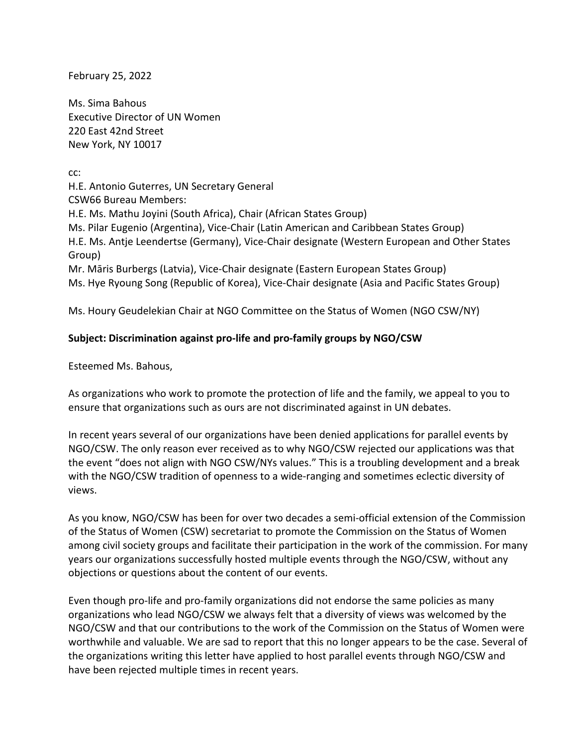February 25, 2022

Ms. Sima Bahous Executive Director of UN Women 220 East 42nd Street New York, NY 10017

cc:

H.E. Antonio Guterres, UN Secretary General CSW66 Bureau Members: H.E. Ms. Mathu Joyini (South Africa), Chair (African States Group) Ms. Pilar Eugenio (Argentina), Vice-Chair (Latin American and Caribbean States Group) H.E. Ms. Antje Leendertse (Germany), Vice-Chair designate (Western European and Other States Group) Mr. Māris Burbergs (Latvia), Vice-Chair designate (Eastern European States Group) Ms. Hye Ryoung Song (Republic of Korea), Vice-Chair designate (Asia and Pacific States Group)

Ms. Houry Geudelekian Chair at NGO Committee on the Status of Women (NGO CSW/NY)

## **Subject: Discrimination against pro-life and pro-family groups by NGO/CSW**

Esteemed Ms. Bahous,

As organizations who work to promote the protection of life and the family, we appeal to you to ensure that organizations such as ours are not discriminated against in UN debates.

In recent years several of our organizations have been denied applications for parallel events by NGO/CSW. The only reason ever received as to why NGO/CSW rejected our applications was that the event "does not align with NGO CSW/NYs values." This is a troubling development and a break with the NGO/CSW tradition of openness to a wide-ranging and sometimes eclectic diversity of views.

As you know, NGO/CSW has been for over two decades a semi-official extension of the Commission of the Status of Women (CSW) secretariat to promote the Commission on the Status of Women among civil society groups and facilitate their participation in the work of the commission. For many years our organizations successfully hosted multiple events through the NGO/CSW, without any objections or questions about the content of our events.

Even though pro-life and pro-family organizations did not endorse the same policies as many organizations who lead NGO/CSW we always felt that a diversity of views was welcomed by the NGO/CSW and that our contributions to the work of the Commission on the Status of Women were worthwhile and valuable. We are sad to report that this no longer appears to be the case. Several of the organizations writing this letter have applied to host parallel events through NGO/CSW and have been rejected multiple times in recent years.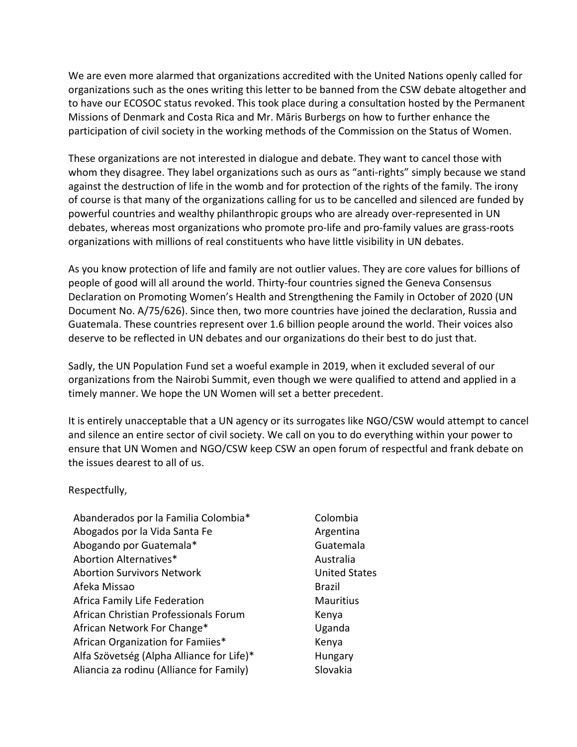We are even more alarmed that organizations accredited with the United Nations openly called for organizations such as the ones writing this letter to be banned from the CSW debate altogether and to have our ECOSOC status revoked. This took place during a consultation hosted by the Permanent Missions of Denmark and Costa Rica and Mr. Māris Burbergs on how to further enhance the participation of civil society in the working methods of the Commission on the Status of Women.

These organizations are not interested in dialogue and debate. They want to cancel those with whom they disagree. They label organizations such as ours as "anti-rights" simply because we stand against the destruction of life in the womb and for protection of the rights of the family. The irony of course is that many of the organizations calling for us to be cancelled and silenced are funded by powerful countries and wealthy philanthropic groups who are already over-represented in UN debates, whereas most organizations who promote pro-life and pro-family values are grass-roots organizations with millions of real constituents who have little visibility in UN debates.

As you know protection of life and family are not outlier values. They are core values for billions of people of good will all around the world. Thirty-four countries signed the Geneva Consensus Declaration on Promoting Women's Health and Strengthening the Family in October of 2020 (UN Document No. A/75/626). Since then, two more countries have joined the declaration, Russia and Guatemala. These countries represent over 1.6 billion people around the world. Their voices also deserve to be reflected in UN debates and our organizations do their best to do just that.

Sadly, the UN Population Fund set a woeful example in 2019, when it excluded several of our organizations from the Nairobi Summit, even though we were qualified to attend and applied in a timely manner. We hope the UN Women will set a better precedent.

It is entirely unacceptable that a UN agency or its surrogates like NGO/CSW would attempt to cancel and silence an entire sector of civil society. We call on you to do everything within your power to ensure that UN Women and NGO/CSW keep CSW an open forum of respectful and frank debate on the issues dearest to all of us.

## Respectfully,

- Abanderados por la Familia Colombia\* Colombia Abogados por la Vida Santa Fe **Argentina** Abogando por Guatemala\* Guatemala Abortion Alternatives\* Abortion Australia Abortion Survivors Network United States Afeka Missao **Brazil** Africa Family Life Federation Mauritius African Christian Professionals Forum Kenya African Network For Change\* The Change of the Uganda African Organization for Famiies\* Kenya Alfa Szövetség (Alpha Alliance for Life)\* Hungary Aliancia za rodinu (Alliance for Family) Slovakia
-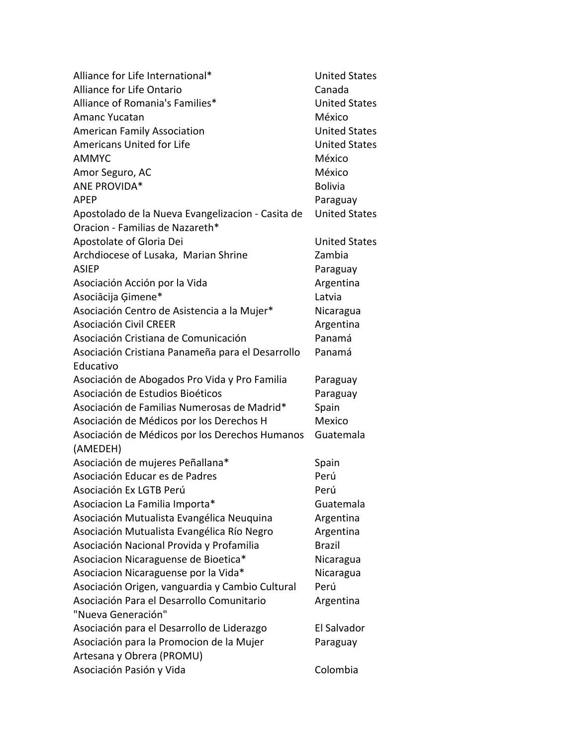| Alliance for Life International*                  | <b>United States</b> |
|---------------------------------------------------|----------------------|
| Alliance for Life Ontario                         | Canada               |
| Alliance of Romania's Families*                   | <b>United States</b> |
| <b>Amanc Yucatan</b>                              | México               |
| <b>American Family Association</b>                | <b>United States</b> |
| <b>Americans United for Life</b>                  | <b>United States</b> |
| <b>AMMYC</b>                                      | México               |
| Amor Seguro, AC                                   | México               |
| ANE PROVIDA*                                      | <b>Bolivia</b>       |
| <b>APEP</b>                                       | Paraguay             |
| Apostolado de la Nueva Evangelizacion - Casita de | <b>United States</b> |
| Oracion - Familias de Nazareth*                   |                      |
| Apostolate of Gloria Dei                          | <b>United States</b> |
| Archdiocese of Lusaka, Marian Shrine              | Zambia               |
| <b>ASIEP</b>                                      | Paraguay             |
| Asociación Acción por la Vida                     | Argentina            |
| Asociācija Ģimene*                                | Latvia               |
| Asociación Centro de Asistencia a la Mujer*       | Nicaragua            |
| <b>Asociación Civil CREER</b>                     | Argentina            |
| Asociación Cristiana de Comunicación              | Panamá               |
| Asociación Cristiana Panameña para el Desarrollo  | Panamá               |
| Educativo                                         |                      |
| Asociación de Abogados Pro Vida y Pro Familia     | Paraguay             |
| Asociación de Estudios Bioéticos                  | Paraguay             |
| Asociación de Familias Numerosas de Madrid*       | Spain                |
| Asociación de Médicos por los Derechos H          | Mexico               |
| Asociación de Médicos por los Derechos Humanos    | Guatemala            |
| (AMEDEH)                                          |                      |
| Asociación de mujeres Peñallana*                  | Spain                |
| Asociación Educar es de Padres                    | Perú                 |
| Asociación Ex LGTB Perú                           | Perú                 |
| Asociacion La Familia Importa*                    | Guatemala            |
| Asociación Mutualista Evangélica Neuquina         | Argentina            |
| Asociación Mutualista Evangélica Río Negro        | Argentina            |
| Asociación Nacional Provida y Profamilia          | <b>Brazil</b>        |
| Asociacion Nicaraguense de Bioetica*              | Nicaragua            |
| Asociacion Nicaraguense por la Vida*              | Nicaragua            |
| Asociación Origen, vanguardia y Cambio Cultural   | Perú                 |
| Asociación Para el Desarrollo Comunitario         | Argentina            |
| "Nueva Generación"                                |                      |
| Asociación para el Desarrollo de Liderazgo        | El Salvador          |
| Asociación para la Promocion de la Mujer          | Paraguay             |
| Artesana y Obrera (PROMU)                         |                      |
| Asociación Pasión y Vida                          | Colombia             |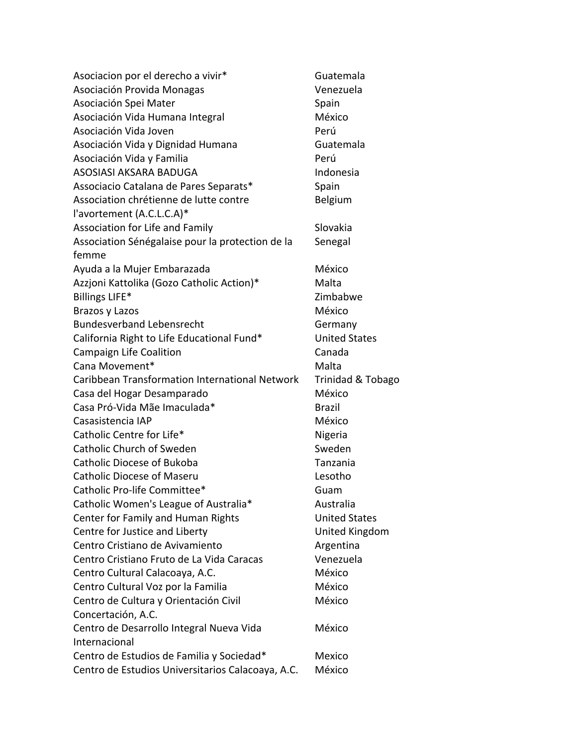| Asociacion por el derecho a vivir*                | Guatemala                    |
|---------------------------------------------------|------------------------------|
| Asociación Provida Monagas                        | Venezuela                    |
| Asociación Spei Mater                             | Spain                        |
| Asociación Vida Humana Integral                   | México                       |
| Asociación Vida Joven                             | Perú                         |
| Asociación Vida y Dignidad Humana                 | Guatemala                    |
| Asociación Vida y Familia                         | Perú                         |
| ASOSIASI AKSARA BADUGA                            | Indonesia                    |
| Associacio Catalana de Pares Separats*            | Spain                        |
| Association chrétienne de lutte contre            | Belgium                      |
| l'avortement (A.C.L.C.A)*                         |                              |
| Association for Life and Family                   | Slovakia                     |
| Association Sénégalaise pour la protection de la  | Senegal                      |
| femme                                             |                              |
| Ayuda a la Mujer Embarazada                       | México                       |
| Azzjoni Kattolika (Gozo Catholic Action)*         | Malta                        |
| Billings LIFE*                                    | Zimbabwe                     |
| Brazos y Lazos                                    | México                       |
| <b>Bundesverband Lebensrecht</b>                  | Germany                      |
| California Right to Life Educational Fund*        | <b>United States</b>         |
| Campaign Life Coalition                           | Canada                       |
| Cana Movement*                                    | Malta                        |
| Caribbean Transformation International Network    | <b>Trinidad &amp; Tobago</b> |
| Casa del Hogar Desamparado                        | México                       |
| Casa Pró-Vida Mãe Imaculada*                      | <b>Brazil</b>                |
| Casasistencia IAP                                 | México                       |
| Catholic Centre for Life*                         | Nigeria                      |
| <b>Catholic Church of Sweden</b>                  | Sweden                       |
| Catholic Diocese of Bukoba                        | Tanzania                     |
| <b>Catholic Diocese of Maseru</b>                 | Lesotho                      |
| Catholic Pro-life Committee*                      | Guam                         |
| Catholic Women's League of Australia*             | Australia                    |
| Center for Family and Human Rights                | <b>United States</b>         |
| Centre for Justice and Liberty                    | United Kingdom               |
| Centro Cristiano de Avivamiento                   | Argentina                    |
| Centro Cristiano Fruto de La Vida Caracas         | Venezuela                    |
| Centro Cultural Calacoaya, A.C.                   | México                       |
| Centro Cultural Voz por la Familia                | México                       |
| Centro de Cultura y Orientación Civil             | México                       |
| Concertación, A.C.                                |                              |
| Centro de Desarrollo Integral Nueva Vida          | México                       |
| Internacional                                     |                              |
| Centro de Estudios de Familia y Sociedad*         | Mexico                       |
| Centro de Estudios Universitarios Calacoaya, A.C. | México                       |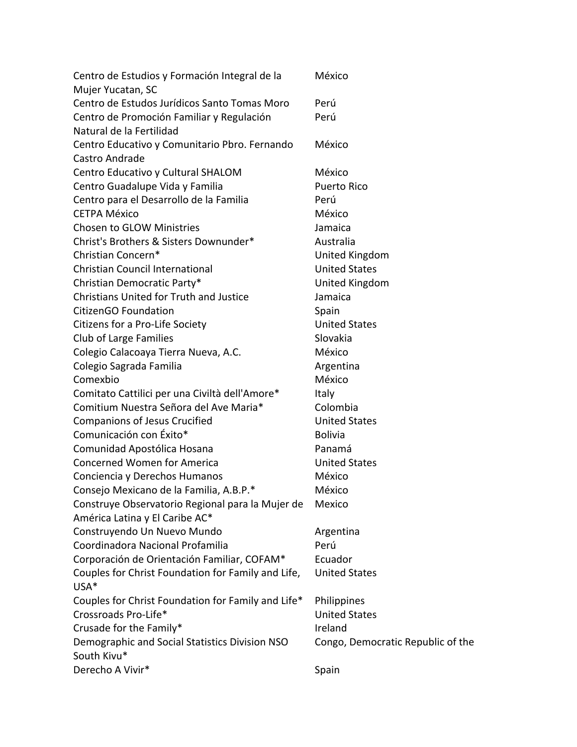| Centro de Estudios y Formación Integral de la<br>Mujer Yucatan, SC                 | México                            |
|------------------------------------------------------------------------------------|-----------------------------------|
| Centro de Estudos Jurídicos Santo Tomas Moro                                       | Perú                              |
| Centro de Promoción Familiar y Regulación                                          | Perú                              |
| Natural de la Fertilidad                                                           |                                   |
| Centro Educativo y Comunitario Pbro. Fernando                                      | México                            |
| Castro Andrade                                                                     |                                   |
| Centro Educativo y Cultural SHALOM                                                 | México                            |
| Centro Guadalupe Vida y Familia                                                    | <b>Puerto Rico</b>                |
| Centro para el Desarrollo de la Familia                                            | Perú                              |
| <b>CETPA México</b>                                                                | México                            |
| <b>Chosen to GLOW Ministries</b>                                                   | Jamaica                           |
| Christ's Brothers & Sisters Downunder*                                             | Australia                         |
| Christian Concern*                                                                 | United Kingdom                    |
| <b>Christian Council International</b>                                             | <b>United States</b>              |
| Christian Democratic Party*                                                        | United Kingdom                    |
| <b>Christians United for Truth and Justice</b>                                     | Jamaica                           |
| CitizenGO Foundation                                                               | Spain                             |
| Citizens for a Pro-Life Society                                                    | <b>United States</b>              |
| Club of Large Families                                                             | Slovakia                          |
| Colegio Calacoaya Tierra Nueva, A.C.                                               | México                            |
| Colegio Sagrada Familia                                                            | Argentina                         |
| Comexbio                                                                           | México                            |
| Comitato Cattilici per una Civiltà dell'Amore*                                     | Italy                             |
| Comitium Nuestra Señora del Ave Maria*                                             | Colombia                          |
| <b>Companions of Jesus Crucified</b>                                               | <b>United States</b>              |
| Comunicación con Éxito*                                                            | <b>Bolivia</b>                    |
| Comunidad Apostólica Hosana                                                        | Panamá                            |
| <b>Concerned Women for America</b>                                                 | <b>United States</b>              |
| Conciencia y Derechos Humanos                                                      | México                            |
| Consejo Mexicano de la Familia, A.B.P.*                                            | México                            |
|                                                                                    | Mexico                            |
| Construye Observatorio Regional para la Mujer de<br>América Latina y El Caribe AC* |                                   |
| Construyendo Un Nuevo Mundo                                                        | Argentina                         |
| Coordinadora Nacional Profamilia                                                   | Perú                              |
| Corporación de Orientación Familiar, COFAM*                                        | Ecuador                           |
| Couples for Christ Foundation for Family and Life,                                 | <b>United States</b>              |
| USA*                                                                               |                                   |
| Couples for Christ Foundation for Family and Life*                                 | Philippines                       |
| Crossroads Pro-Life*                                                               | <b>United States</b>              |
| Crusade for the Family*                                                            | Ireland                           |
| Demographic and Social Statistics Division NSO                                     | Congo, Democratic Republic of the |
| South Kivu*                                                                        |                                   |
| Derecho A Vivir*                                                                   | Spain                             |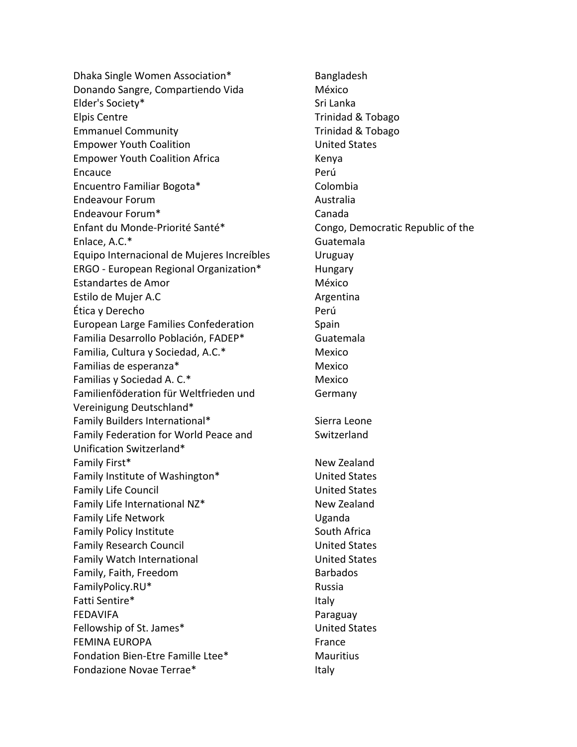Dhaka Single Women Association\* Bangladesh Donando Sangre, Compartiendo Vida México Elder's Society\* Same Superior States and States States and States States and States States and States States Elpis Centre **Trinidad & Tobago** Emmanuel Community **Trinidad & Tobago** Empower Youth Coalition **Empower Youth Coalition** Empower Youth Coalition Africa **Kenya** Encauce **Perú** Encuentro Familiar Bogota\* Colombia Endeavour Forum and all the control of the Australia Endeavour Forum\* Canada Enfant du Monde-Priorité Santé\* Congo, Democratic Republic of the Enlace, A.C.\* Guatemala Equipo Internacional de Mujeres Increíbles Uruguay ERGO - European Regional Organization\* Hungary Estandartes de Amor de antico de México Estilo de Mujer A.C **Argentina** Ética y Derecho Perú European Large Families Confederation Spain Familia Desarrollo Población, FADEP\* Guatemala Familia, Cultura y Sociedad, A.C.\* Mexico Familias de esperanza<sup>\*</sup> Mexico Familias y Sociedad A. C.\* Mexico Familienföderation für Weltfrieden und Vereinigung Deutschland\* Family Builders International\* Sierra Leone Family Federation for World Peace and Unification Switzerland\* Family First\* New Zealand Family Institute of Washington\* The Manuscriptum United States Family Life Council **Example 2** United States Family Life International NZ\* New Zealand Family Life Network **Example 20** Uganda Family Policy Institute **South Africa** South Africa Family Research Council **Example 2** United States Family Watch International **Example 20** United States Family, Faith, Freedom Barbados FamilyPolicy.RU\* Russia Fatti Sentire\* Italy FEDAVIFA Paraguay Fellowship of St. James\* The Controller of St. James United States FEMINA EUROPA **France** Fondation Bien-Etre Famille Ltee\* Mauritius Fondazione Novae Terrae\* Italy

Germany **Switzerland**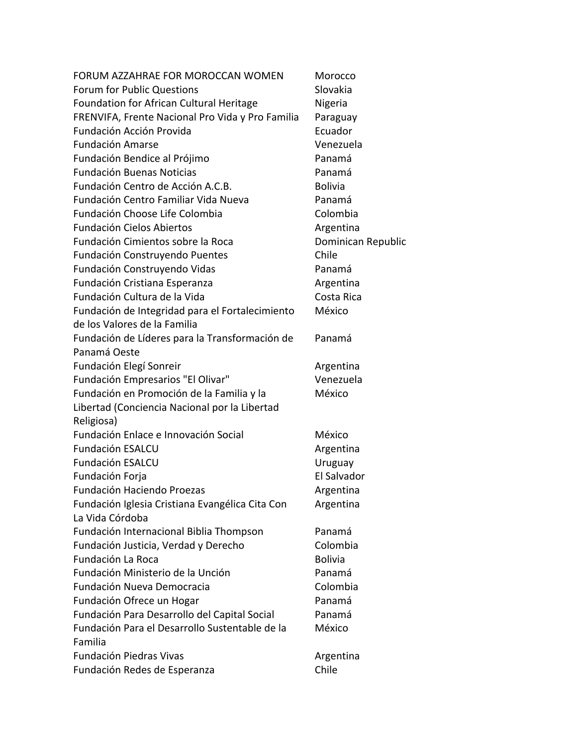| FORUM AZZAHRAE FOR MOROCCAN WOMEN                | Morocco            |
|--------------------------------------------------|--------------------|
| Forum for Public Questions                       | Slovakia           |
| Foundation for African Cultural Heritage         | Nigeria            |
| FRENVIFA, Frente Nacional Pro Vida y Pro Familia | Paraguay           |
| Fundación Acción Provida                         | Ecuador            |
| <b>Fundación Amarse</b>                          | Venezuela          |
| Fundación Bendice al Prójimo                     | Panamá             |
| <b>Fundación Buenas Noticias</b>                 | Panamá             |
| Fundación Centro de Acción A.C.B.                | <b>Bolivia</b>     |
| Fundación Centro Familiar Vida Nueva             | Panamá             |
| Fundación Choose Life Colombia                   | Colombia           |
| <b>Fundación Cielos Abiertos</b>                 | Argentina          |
| Fundación Cimientos sobre la Roca                | Dominican Republic |
| Fundación Construyendo Puentes                   | Chile              |
| Fundación Construyendo Vidas                     | Panamá             |
| Fundación Cristiana Esperanza                    | Argentina          |
| Fundación Cultura de la Vida                     | Costa Rica         |
| Fundación de Integridad para el Fortalecimiento  | México             |
| de los Valores de la Familia                     |                    |
| Fundación de Líderes para la Transformación de   | Panamá             |
| Panamá Oeste                                     |                    |
| Fundación Elegí Sonreir                          | Argentina          |
| Fundación Empresarios "El Olivar"                | Venezuela          |
| Fundación en Promoción de la Familia y la        | México             |
| Libertad (Conciencia Nacional por la Libertad    |                    |
| Religiosa)                                       |                    |
| Fundación Enlace e Innovación Social             | México             |
| Fundación ESALCU                                 | Argentina          |
| <b>Fundación ESALCU</b>                          | Uruguay            |
| Fundación Forja                                  | El Salvador        |
| Fundación Haciendo Proezas                       | Argentina          |
| Fundación Iglesia Cristiana Evangélica Cita Con  | Argentina          |
| La Vida Córdoba                                  |                    |
| Fundación Internacional Biblia Thompson          | Panamá             |
| Fundación Justicia, Verdad y Derecho             | Colombia           |
| Fundación La Roca                                | <b>Bolivia</b>     |
| Fundación Ministerio de la Unción                | Panamá             |
| Fundación Nueva Democracia                       | Colombia           |
| Fundación Ofrece un Hogar                        | Panamá             |
| Fundación Para Desarrollo del Capital Social     | Panamá             |
| Fundación Para el Desarrollo Sustentable de la   | México             |
| Familia                                          |                    |
| <b>Fundación Piedras Vivas</b>                   | Argentina          |
| Fundación Redes de Esperanza                     | Chile              |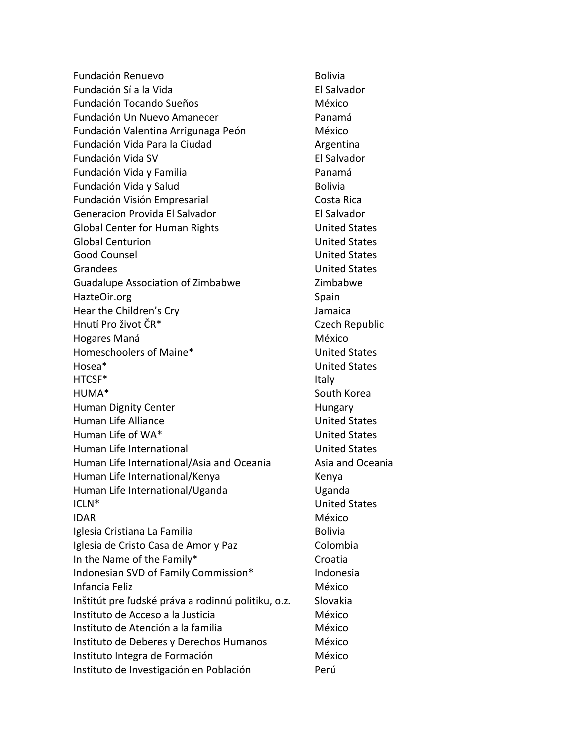Fundación Renuevo **Bolivia** Bolivia Fundación Sí a la Vida el establecer en el Salvador Fundación Tocando Sueños México Fundación Un Nuevo Amanecer **Panamá** Fundación Valentina Arrigunaga Peón México Fundación Vida Para la Ciudad **Argentina** Fundación Vida SV **El Salvador** Fundación Vida y Familia **Panamá** Fundación Vida y Salud Bolivia Fundación Visión Empresarial **Costa Rica** Generacion Provida El Salvador El Salvador Global Center for Human Rights **Entity Control** United States Global Centurion **Contract Contract Contract Contract Contract Contract Contract Contract Contract Contract Contract Contract Contract Contract Contract Contract Contract Contract Contract Contract Contract Contract Contra** Good Counsel **Good Counsel Counsel Counsel United States** Grandees United States Guadalupe Association of Zimbabwe **Zimbabwe** HazteOir.org Spain Hear the Children's Cry Jamaica Hnutí Pro život ČR\* Czech Republic Hogares Maná **México** México Homeschoolers of Maine\* The Controllers of Maine and Maine Maintenance United States Hosea\* United States HTCSF<sup>\*</sup> knowledge and the set of the set of the set of the set of the set of the set of the set of the set of the set of the set of the set of the set of the set of the set of the set of the set of the set of the set of t HUMA\* South Korea Human Dignity Center **Human Dignity Center Human** Human Life Alliance **National States** United States Human Life of WA\* The Contract of WA\* The United States Human Life International **Executive States** Human Life International/Asia and Oceania Asia and Oceania Human Life International/Kenya Kenya Human Life International/Uganda Theorem Uganda ICLN<sup>\*</sup> United States IDAR NÉXICO Iglesia Cristiana La Familia **Bolivia** Bolivia Iglesia de Cristo Casa de Amor y Paz Colombia In the Name of the Family\* The Croatia Indonesian SVD of Family Commission\* Indonesia Infancia Feliz **México** and a material method of México Inštitút pre ľudské práva a rodinnú politiku, o.z. Slovakia Instituto de Acceso a la Justicia de México Instituto de Atención a la familia media de México Instituto de Deberes y Derechos Humanos México Instituto Integra de Formación **México** Instituto de Investigación en Población en Perú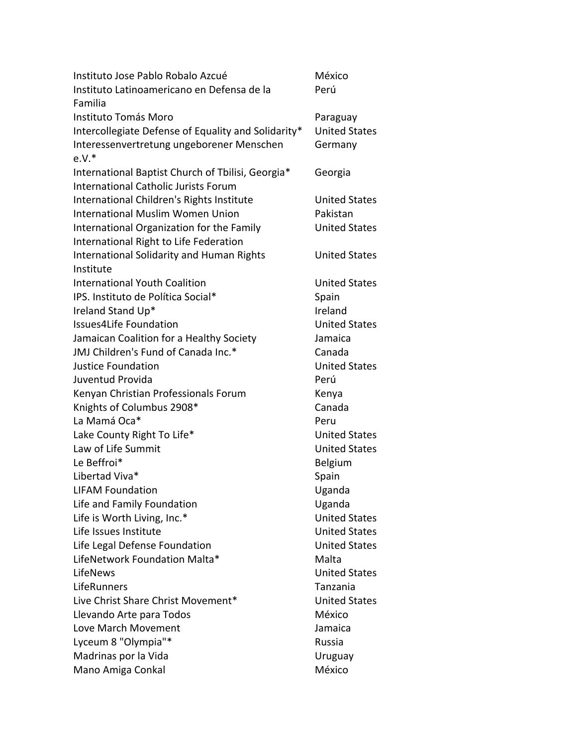| Instituto Jose Pablo Robalo Azcué                   | México               |
|-----------------------------------------------------|----------------------|
| Instituto Latinoamericano en Defensa de la          | Perú                 |
| Familia                                             |                      |
| Instituto Tomás Moro                                | Paraguay             |
| Intercollegiate Defense of Equality and Solidarity* | <b>United States</b> |
| Interessenvertretung ungeborener Menschen           | Germany              |
| $e.V.*$                                             |                      |
| International Baptist Church of Tbilisi, Georgia*   | Georgia              |
| <b>International Catholic Jurists Forum</b>         |                      |
| International Children's Rights Institute           | <b>United States</b> |
| <b>International Muslim Women Union</b>             | Pakistan             |
| International Organization for the Family           | <b>United States</b> |
| International Right to Life Federation              |                      |
| <b>International Solidarity and Human Rights</b>    | <b>United States</b> |
| Institute                                           |                      |
| <b>International Youth Coalition</b>                | <b>United States</b> |
| IPS. Instituto de Política Social*                  | Spain                |
| Ireland Stand Up*                                   | Ireland              |
| <b>Issues4Life Foundation</b>                       | <b>United States</b> |
| Jamaican Coalition for a Healthy Society            | Jamaica              |
| JMJ Children's Fund of Canada Inc.*                 | Canada               |
| <b>Justice Foundation</b>                           | <b>United States</b> |
| Juventud Provida                                    | Perú                 |
| Kenyan Christian Professionals Forum                | Kenya                |
| Knights of Columbus 2908*                           | Canada               |
| La Mamá Oca*                                        | Peru                 |
| Lake County Right To Life*                          | <b>United States</b> |
| Law of Life Summit                                  | <b>United States</b> |
| Le Beffroi*                                         | Belgium              |
| Libertad Viva*                                      | Spain                |
| <b>LIFAM Foundation</b>                             | Uganda               |
| Life and Family Foundation                          | Uganda               |
| Life is Worth Living, Inc.*                         | <b>United States</b> |
| Life Issues Institute                               | <b>United States</b> |
| Life Legal Defense Foundation                       | <b>United States</b> |
| LifeNetwork Foundation Malta*                       | Malta                |
| LifeNews                                            | <b>United States</b> |
| LifeRunners                                         | Tanzania             |
| Live Christ Share Christ Movement*                  | <b>United States</b> |
| Llevando Arte para Todos                            | México               |
| Love March Movement                                 | Jamaica              |
| Lyceum 8 "Olympia"*                                 | Russia               |
| Madrinas por la Vida                                | Uruguay              |
| Mano Amiga Conkal                                   | México               |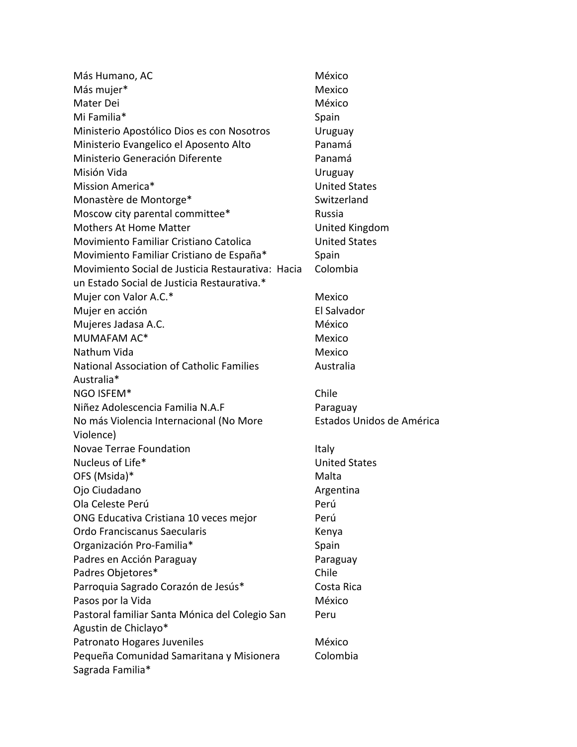| Más Humano, AC                                    | México                    |
|---------------------------------------------------|---------------------------|
| Más mujer*                                        | Mexico                    |
| Mater Dei                                         | México                    |
| Mi Familia*                                       | Spain                     |
| Ministerio Apostólico Dios es con Nosotros        | Uruguay                   |
| Ministerio Evangelico el Aposento Alto            | Panamá                    |
| Ministerio Generación Diferente                   | Panamá                    |
| Misión Vida                                       | Uruguay                   |
| Mission America*                                  | <b>United States</b>      |
| Monastère de Montorge*                            | Switzerland               |
| Moscow city parental committee*                   | Russia                    |
| <b>Mothers At Home Matter</b>                     | United Kingdom            |
| Movimiento Familiar Cristiano Catolica            | <b>United States</b>      |
| Movimiento Familiar Cristiano de España*          | Spain                     |
| Movimiento Social de Justicia Restaurativa: Hacia | Colombia                  |
| un Estado Social de Justicia Restaurativa.*       |                           |
| Mujer con Valor A.C.*                             | Mexico                    |
| Mujer en acción                                   | El Salvador               |
| Mujeres Jadasa A.C.                               | México                    |
| MUMAFAM AC*                                       | Mexico                    |
| Nathum Vida                                       | Mexico                    |
| <b>National Association of Catholic Families</b>  | Australia                 |
| Australia*                                        |                           |
| NGO ISFEM*                                        | Chile                     |
| Niñez Adolescencia Familia N.A.F                  | Paraguay                  |
| No más Violencia Internacional (No More           | Estados Unidos de América |
| Violence)                                         |                           |
| Novae Terrae Foundation                           | Italy                     |
| Nucleus of Life*                                  | <b>United States</b>      |
| OFS (Msida)*                                      | Malta                     |
| Ojo Ciudadano                                     | Argentina                 |
| Ola Celeste Perú                                  | Perú                      |
| ONG Educativa Cristiana 10 veces mejor            | Perú                      |
| Ordo Franciscanus Saecularis                      | Kenya                     |
| Organización Pro-Familia*                         | Spain                     |
| Padres en Acción Paraguay                         | Paraguay                  |
| Padres Objetores*                                 | Chile                     |
| Parroquia Sagrado Corazón de Jesús*               | Costa Rica                |
| Pasos por la Vida                                 | México                    |
| Pastoral familiar Santa Mónica del Colegio San    | Peru                      |
| Agustin de Chiclayo*                              |                           |
| Patronato Hogares Juveniles                       | México                    |
| Pequeña Comunidad Samaritana y Misionera          | Colombia                  |
| Sagrada Familia*                                  |                           |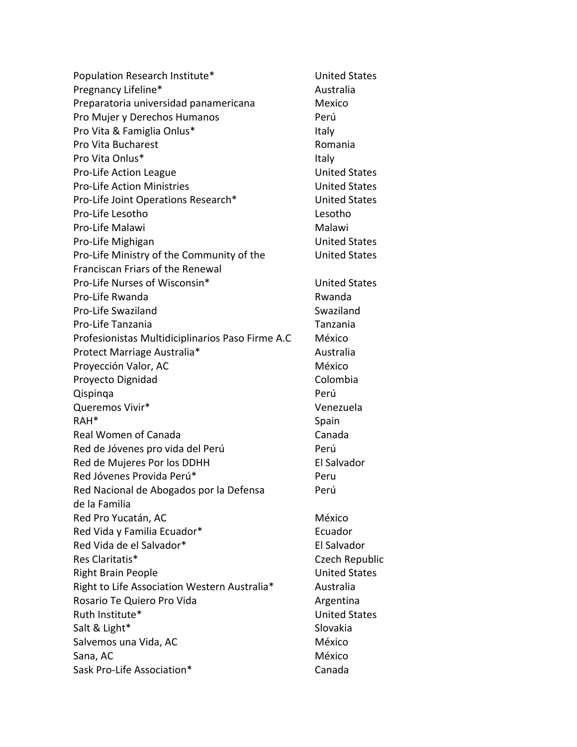| Population Research Institute*                   | United   |
|--------------------------------------------------|----------|
| Pregnancy Lifeline*                              | Austral  |
| Preparatoria universidad panamericana            | Mexico   |
| Pro Mujer y Derechos Humanos                     | Perú     |
| Pro Vita & Famiglia Onlus*                       | Italy    |
| Pro Vita Bucharest                               | Roman    |
| Pro Vita Onlus*                                  | Italy    |
| Pro-Life Action League                           | United   |
| <b>Pro-Life Action Ministries</b>                | United   |
| Pro-Life Joint Operations Research*              | United   |
| Pro-Life Lesotho                                 | Lesotho  |
| Pro-Life Malawi                                  | Malawi   |
| Pro-Life Mighigan                                | United   |
| Pro-Life Ministry of the Community of the        | United   |
| Franciscan Friars of the Renewal                 |          |
| Pro-Life Nurses of Wisconsin*                    | United   |
| Pro-Life Rwanda                                  | Rwanda   |
| Pro-Life Swaziland                               | Swazila  |
| Pro-Life Tanzania                                | Tanzan   |
| Profesionistas Multidiciplinarios Paso Firme A.C | México   |
| Protect Marriage Australia*                      | Austral  |
| Proyección Valor, AC                             | México   |
| Proyecto Dignidad                                | Colomb   |
| Qispinga                                         | Perú     |
| Queremos Vivir*                                  | Venezu   |
| RAH <sup>*</sup>                                 | Spain    |
| Real Women of Canada                             | Canada   |
| Red de Jóvenes pro vida del Perú                 | Perú     |
| Red de Mujeres Por los DDHH                      | El Salva |
| Red Jóvenes Provida Perú*                        | Peru     |
| Red Nacional de Abogados por la Defensa          | Perú     |
| de la Familia                                    |          |
| Red Pro Yucatán, AC                              | México   |
| Red Vida y Familia Ecuador*                      | Ecuado   |
| Red Vida de el Salvador*                         | El Salva |
| Res Claritatis*                                  | Czech F  |
| <b>Right Brain People</b>                        | United   |
| Right to Life Association Western Australia*     | Austral  |
| Rosario Te Quiero Pro Vida                       | Argenti  |
| Ruth Institute*                                  | United   |
| Salt & Light*                                    | Slovakia |
| Salvemos una Vida, AC                            | México   |
| Sana, AC                                         | México   |
| Sask Pro-Life Association*                       | Canada   |

**United States** Australia Mexico Romania **United States United States United States** Lesotho Malawi **United States** United States **United States** Rwanda Swaziland **Tanzania** México Australia Colombia Venezuela Canada El Salvador Perú México Ecuador El Salvador Czech Republic **United States** Australia Argentina **United States** Slovakia México Canada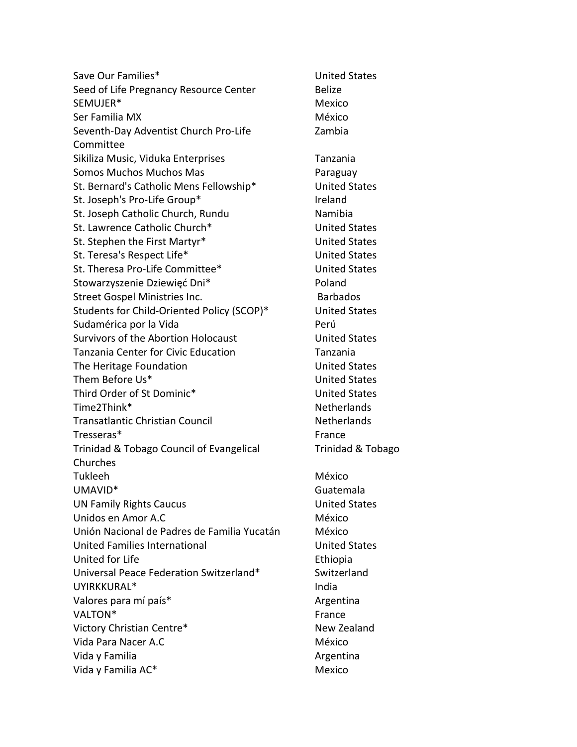Save Our Families\* The Contract of the United States Seed of Life Pregnancy Resource Center Belize SEMUJER\* Mexico Ser Familia MX México Seventh-Day Adventist Church Pro-Life Committee Sikiliza Music, Viduka Enterprises Tanzania Somos Muchos Muchos Mas St. Bernard's Catholic Mens Fellowship\* United States St. Joseph's Pro-Life Group\* The Ireland St. Joseph Catholic Church, Rundu Namibia St. Lawrence Catholic Church\* United States St. Stephen the First Martyr<sup>\*</sup> The Controller Management Controller United States St. Teresa's Respect Life\* The Controller of the United States St. Theresa Pro-Life Committee\* United States Stowarzyszenie Dziewięć Dni\* Poland Street Gospel Ministries Inc. **Barbados** Barbados Students for Child-Oriented Policy (SCOP)\* United States Sudamérica por la Vida **Perú** Survivors of the Abortion Holocaust **United States** Tanzania Center for Civic Education Tanzania The Heritage Foundation The Heritage Foundation Them Before Us<sup>\*</sup> Them Before Us<sup>\*</sup> Third Order of St Dominic\* United States Time2Think\* Netherlands Transatlantic Christian Council Netherlands Tresseras\* France Trinidad & Tobago Council of Evangelical Churches Tukleeh México UMAVID\* Guatemala UN Family Rights Caucus United States Unidos en Amor A.C México Unión Nacional de Padres de Familia Yucatán México United Families International **United States** United for Life **Ethiopia** Universal Peace Federation Switzerland\* Switzerland UYIRKKURAL\* India Valores para mí país\* Argentina VALTON\* France Victory Christian Centre\* New Zealand Vida Para Nacer A.C México Vida y Familia **Argentina** Argentina Vida y Familia AC\* Mexico

Zambia Trinidad & Tobago